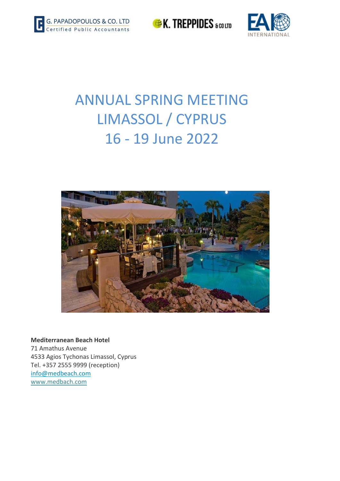

**EX. TREPPIDES** scotto



# ANNUAL SPRING MEETING LIMASSOL / CYPRUS 16 ‐ 19 June 2022



**Mediterranean Beach Hotel** 71 Amathus Avenue 4533 Agios Tychonas Limassol, Cyprus Tel. +357 2555 9999 (reception) info@medbeach.com www.medbach.com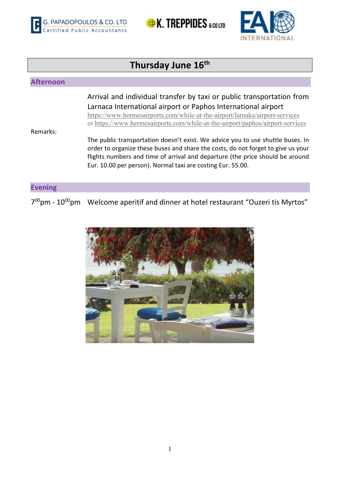





## **Thursday June 16th Afternoon**  Arrival and individual transfer by taxi or public transportation from Larnaca International airport or Paphos International airport https://www.hermesairports.com/while-at-the-airport/larnaka/airport-services  *or* https://www.hermesairports.com/while-at-the-airport/paphos/airport-services Remarks: The public transportation doesn't exist. We advice you to use shuttle buses. In order to organize these buses and share the costs, do not forget to give us your flights numbers and time of arrival and departure (the price should be around Eur. 10.00 per person). Normal taxi are costing Eur. 55.00. **Evening** 7<sup>00</sup>pm - 10<sup>00</sup>pm Welcome aperitif and dinner at hotel restaurant "Ouzeri tis Myrtos"

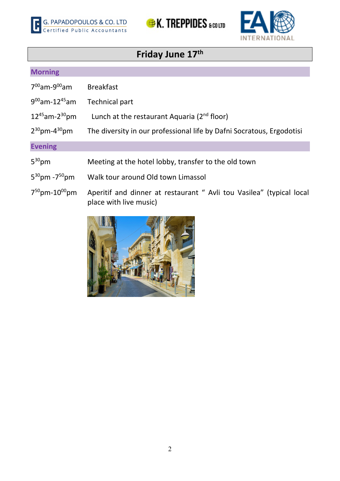





## **Friday June 17th**

## **Morning**

| $7^{00}$ am-9 $^{00}$ am        | <b>Breakfast</b>                                                                               |
|---------------------------------|------------------------------------------------------------------------------------------------|
| $9^{00}$ am-12 <sup>45</sup> am | Technical part                                                                                 |
| $12^{45}$ am-2 <sup>30</sup> pm | Lunch at the restaurant Aquaria (2 <sup>nd</sup> floor)                                        |
| $2^{30}$ pm-4 $3^{0}$ pm        | The diversity in our professional life by Dafni Socratous, Ergodotisi                          |
| <b>Evening</b>                  |                                                                                                |
| $5^{30}$ pm                     | Meeting at the hotel lobby, transfer to the old town                                           |
| $5^{30}$ pm -7 $^{50}$ pm       | Walk tour around Old town Limassol                                                             |
| $7^{50}$ pm-10 <sup>00</sup> pm | Aperitif and dinner at restaurant " Avli tou Vasilea" (typical local<br>place with live music) |

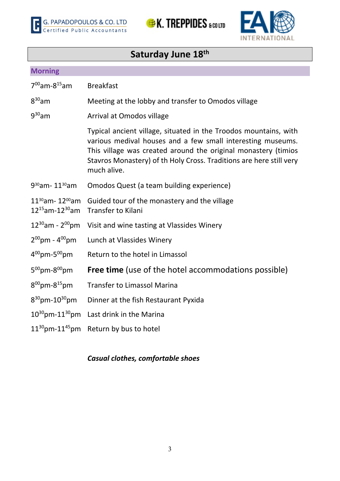





## **Saturday June 18th**

## **Morning**

| $7^{00}$ am-8 <sup>15</sup> am                            | <b>Breakfast</b>                                                                                                                                                                                                                                                                        |
|-----------------------------------------------------------|-----------------------------------------------------------------------------------------------------------------------------------------------------------------------------------------------------------------------------------------------------------------------------------------|
| $8^{30}$ am                                               | Meeting at the lobby and transfer to Omodos village                                                                                                                                                                                                                                     |
| $9^{30}$ am                                               | Arrival at Omodos village                                                                                                                                                                                                                                                               |
|                                                           | Typical ancient village, situated in the Troodos mountains, with<br>various medival houses and a few small interesting museums.<br>This village was created around the original monastery (timios<br>Stavros Monastery) of th Holy Cross. Traditions are here still very<br>much alive. |
| 9 <sup>30</sup> am-11 <sup>30</sup> am                    | Omodos Quest (a team building experience)                                                                                                                                                                                                                                               |
| $11^{30}$ am- 12 $^{00}$ am<br>$12^{15}$ am-12 $^{30}$ am | Guided tour of the monastery and the village<br><b>Transfer to Kilani</b>                                                                                                                                                                                                               |
| $12^{30}$ am - 2 <sup>00</sup> pm                         | Visit and wine tasting at Vlassides Winery                                                                                                                                                                                                                                              |
| $2^{00}$ pm - $4^{00}$ pm                                 | Lunch at Vlassides Winery                                                                                                                                                                                                                                                               |
| $4^{00}$ pm-5 $^{00}$ pm                                  | Return to the hotel in Limassol                                                                                                                                                                                                                                                         |
| $5^{00}$ pm- $8^{00}$ pm                                  | <b>Free time</b> (use of the hotel accommodations possible)                                                                                                                                                                                                                             |
| $8^{00}$ pm- $8^{15}$ pm                                  | <b>Transfer to Limassol Marina</b>                                                                                                                                                                                                                                                      |
| $8^{30}$ pm-10 <sup>30</sup> pm                           | Dinner at the fish Restaurant Pyxida                                                                                                                                                                                                                                                    |
| $10^{30}$ pm- $11^{30}$ pm                                | Last drink in the Marina                                                                                                                                                                                                                                                                |
| $11^{30}$ pm- $11^{45}$ pm                                | Return by bus to hotel                                                                                                                                                                                                                                                                  |

## *Casual clothes, comfortable shoes*